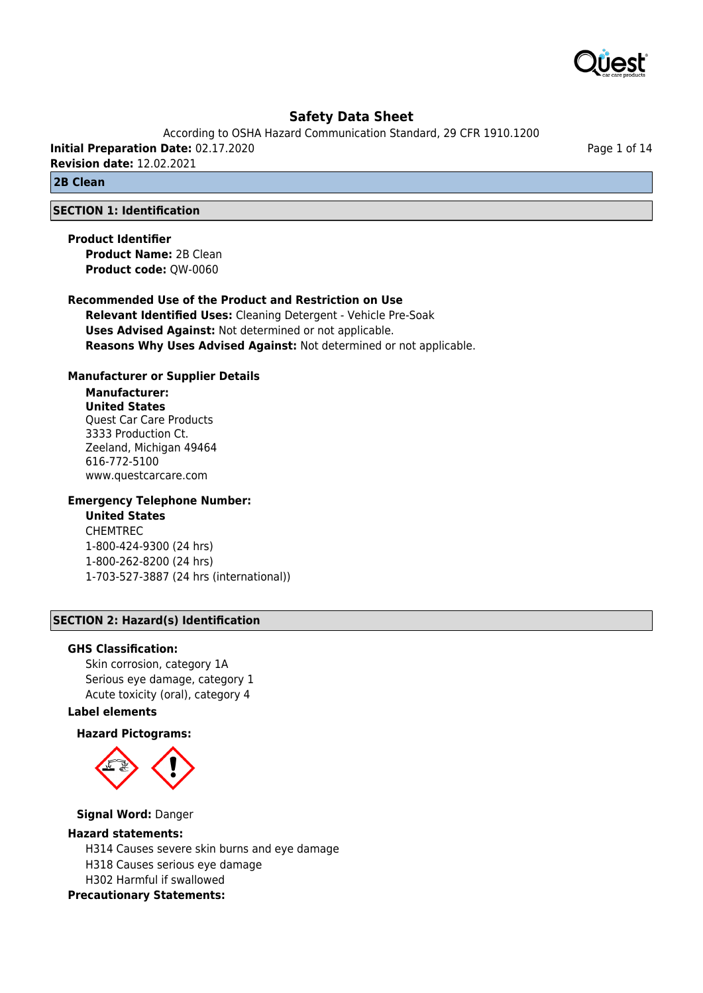

According to OSHA Hazard Communication Standard, 29 CFR 1910.1200 **Initial Preparation Date:** 02.17.2020

**Revision date:** 12.02.2021

**2B Clean**

### **SECTION 1: Identification**

**Product Identifier Product Name:** 2B Clean **Product code:** QW-0060

## **Recommended Use of the Product and Restriction on Use**

**Relevant Identified Uses:** Cleaning Detergent - Vehicle Pre-Soak **Uses Advised Against:** Not determined or not applicable. **Reasons Why Uses Advised Against:** Not determined or not applicable.

#### **Manufacturer or Supplier Details**

### **Manufacturer: United States** Quest Car Care Products 3333 Production Ct. Zeeland, Michigan 49464 616-772-5100 www.questcarcare.com

### **Emergency Telephone Number:**

## **United States**

CHEMTREC 1-800-424-9300 (24 hrs) 1-800-262-8200 (24 hrs) 1-703-527-3887 (24 hrs (international))

#### **SECTION 2: Hazard(s) Identification**

#### **GHS Classification:**

Skin corrosion, category 1A Serious eye damage, category 1 Acute toxicity (oral), category 4

## **Label elements**

#### **Hazard Pictograms:**



#### **Signal Word:** Danger

#### **Hazard statements:**

H314 Causes severe skin burns and eye damage H318 Causes serious eye damage H302 Harmful if swallowed **Precautionary Statements:**

Page 1 of 14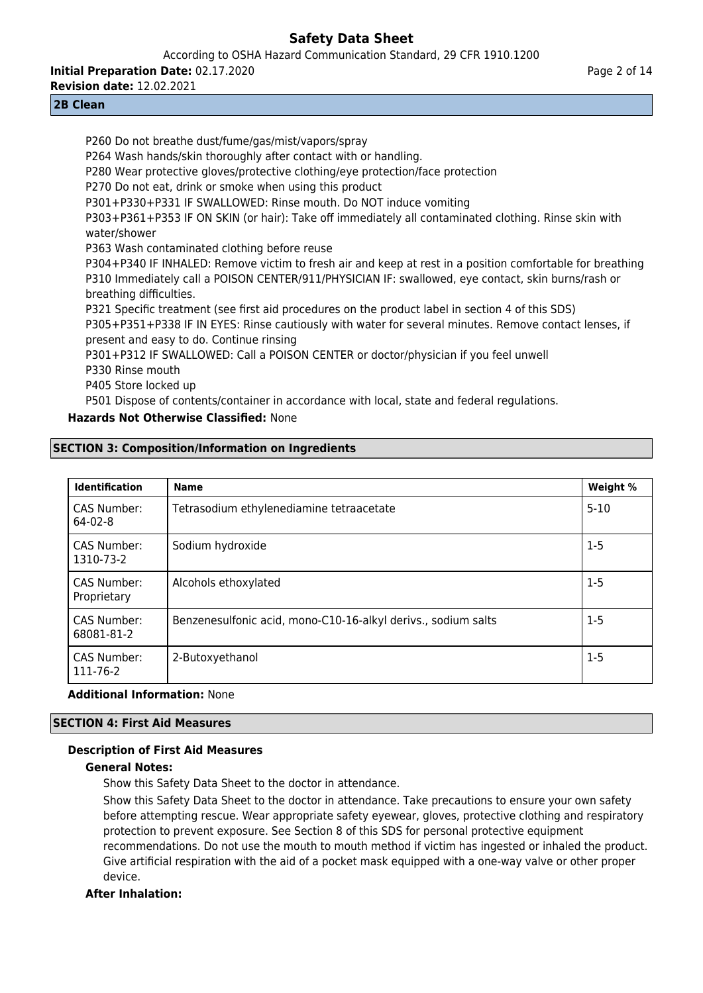According to OSHA Hazard Communication Standard, 29 CFR 1910.1200

**Initial Preparation Date:** 02.17.2020

**Revision date:** 12.02.2021

## **2B Clean**

P260 Do not breathe dust/fume/gas/mist/vapors/spray P264 Wash hands/skin thoroughly after contact with or handling. P280 Wear protective gloves/protective clothing/eye protection/face protection P270 Do not eat, drink or smoke when using this product P301+P330+P331 IF SWALLOWED: Rinse mouth. Do NOT induce vomiting P303+P361+P353 IF ON SKIN (or hair): Take off immediately all contaminated clothing. Rinse skin with water/shower P363 Wash contaminated clothing before reuse P304+P340 IF INHALED: Remove victim to fresh air and keep at rest in a position comfortable for breathing P310 Immediately call a POISON CENTER/911/PHYSICIAN IF: swallowed, eye contact, skin burns/rash or breathing difficulties. P321 Specific treatment (see first aid procedures on the product label in section 4 of this SDS) P305+P351+P338 IF IN EYES: Rinse cautiously with water for several minutes. Remove contact lenses, if present and easy to do. Continue rinsing P301+P312 IF SWALLOWED: Call a POISON CENTER or doctor/physician if you feel unwell P330 Rinse mouth P405 Store locked up

P501 Dispose of contents/container in accordance with local, state and federal regulations.

## **Hazards Not Otherwise Classified:** None

## **SECTION 3: Composition/Information on Ingredients**

| <b>Identification</b>             | <b>Name</b>                                                   | Weight % |
|-----------------------------------|---------------------------------------------------------------|----------|
| CAS Number:<br>$64-02-8$          | Tetrasodium ethylenediamine tetraacetate                      | $5 - 10$ |
| CAS Number:<br>1310-73-2          | Sodium hydroxide                                              | $1-5$    |
| <b>CAS Number:</b><br>Proprietary | Alcohols ethoxylated                                          | $1 - 5$  |
| <b>CAS Number:</b><br>68081-81-2  | Benzenesulfonic acid, mono-C10-16-alkyl derivs., sodium salts | $1 - 5$  |
| CAS Number:<br>111-76-2           | 2-Butoxyethanol                                               | $1 - 5$  |

## **Additional Information:** None

## **SECTION 4: First Aid Measures**

## **Description of First Aid Measures**

## **General Notes:**

Show this Safety Data Sheet to the doctor in attendance.

Show this Safety Data Sheet to the doctor in attendance. Take precautions to ensure your own safety before attempting rescue. Wear appropriate safety eyewear, gloves, protective clothing and respiratory protection to prevent exposure. See Section 8 of this SDS for personal protective equipment recommendations. Do not use the mouth to mouth method if victim has ingested or inhaled the product. Give artificial respiration with the aid of a pocket mask equipped with a one-way valve or other proper device.

## **After Inhalation:**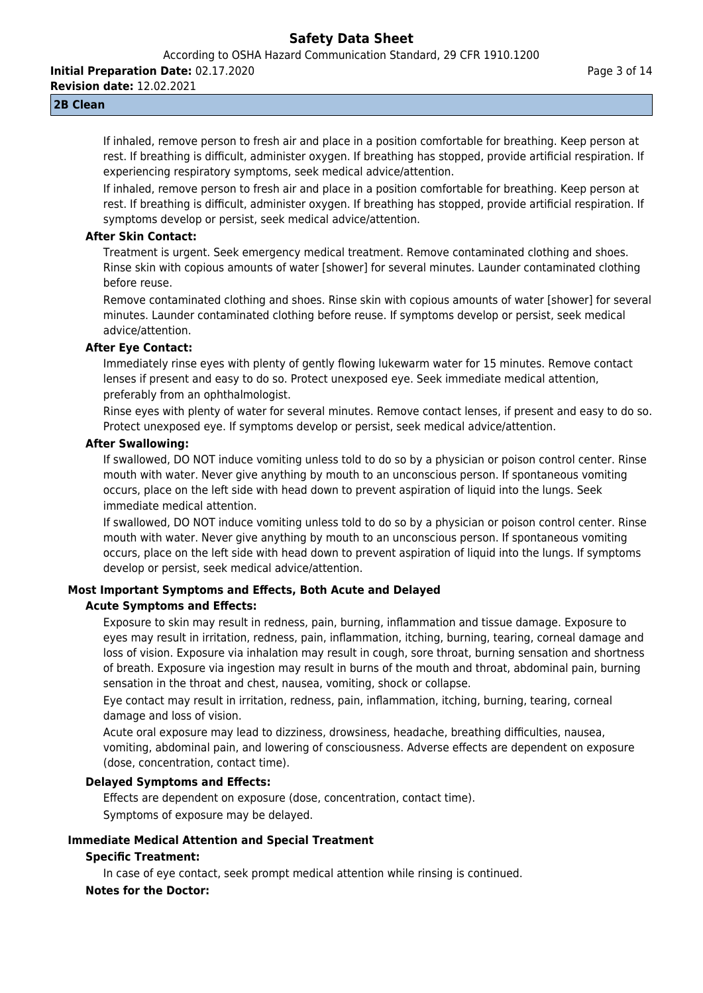According to OSHA Hazard Communication Standard, 29 CFR 1910.1200

**Initial Preparation Date:** 02.17.2020

**Revision date:** 12.02.2021

#### Page 3 of 14

### **2B Clean**

If inhaled, remove person to fresh air and place in a position comfortable for breathing. Keep person at rest. If breathing is difficult, administer oxygen. If breathing has stopped, provide artificial respiration. If experiencing respiratory symptoms, seek medical advice/attention.

If inhaled, remove person to fresh air and place in a position comfortable for breathing. Keep person at rest. If breathing is difficult, administer oxygen. If breathing has stopped, provide artificial respiration. If symptoms develop or persist, seek medical advice/attention.

#### **After Skin Contact:**

Treatment is urgent. Seek emergency medical treatment. Remove contaminated clothing and shoes. Rinse skin with copious amounts of water [shower] for several minutes. Launder contaminated clothing before reuse.

Remove contaminated clothing and shoes. Rinse skin with copious amounts of water [shower] for several minutes. Launder contaminated clothing before reuse. If symptoms develop or persist, seek medical advice/attention.

#### **After Eye Contact:**

Immediately rinse eyes with plenty of gently flowing lukewarm water for 15 minutes. Remove contact lenses if present and easy to do so. Protect unexposed eye. Seek immediate medical attention, preferably from an ophthalmologist.

Rinse eyes with plenty of water for several minutes. Remove contact lenses, if present and easy to do so. Protect unexposed eye. If symptoms develop or persist, seek medical advice/attention.

#### **After Swallowing:**

If swallowed, DO NOT induce vomiting unless told to do so by a physician or poison control center. Rinse mouth with water. Never give anything by mouth to an unconscious person. If spontaneous vomiting occurs, place on the left side with head down to prevent aspiration of liquid into the lungs. Seek immediate medical attention.

If swallowed, DO NOT induce vomiting unless told to do so by a physician or poison control center. Rinse mouth with water. Never give anything by mouth to an unconscious person. If spontaneous vomiting occurs, place on the left side with head down to prevent aspiration of liquid into the lungs. If symptoms develop or persist, seek medical advice/attention.

## **Most Important Symptoms and Effects, Both Acute and Delayed Acute Symptoms and Effects:**

Exposure to skin may result in redness, pain, burning, inflammation and tissue damage. Exposure to eyes may result in irritation, redness, pain, inflammation, itching, burning, tearing, corneal damage and loss of vision. Exposure via inhalation may result in cough, sore throat, burning sensation and shortness of breath. Exposure via ingestion may result in burns of the mouth and throat, abdominal pain, burning sensation in the throat and chest, nausea, vomiting, shock or collapse.

Eye contact may result in irritation, redness, pain, inflammation, itching, burning, tearing, corneal damage and loss of vision.

Acute oral exposure may lead to dizziness, drowsiness, headache, breathing difficulties, nausea, vomiting, abdominal pain, and lowering of consciousness. Adverse effects are dependent on exposure (dose, concentration, contact time).

## **Delayed Symptoms and Effects:**

Effects are dependent on exposure (dose, concentration, contact time). Symptoms of exposure may be delayed.

## **Immediate Medical Attention and Special Treatment**

#### **Specific Treatment:**

In case of eye contact, seek prompt medical attention while rinsing is continued.

## **Notes for the Doctor:**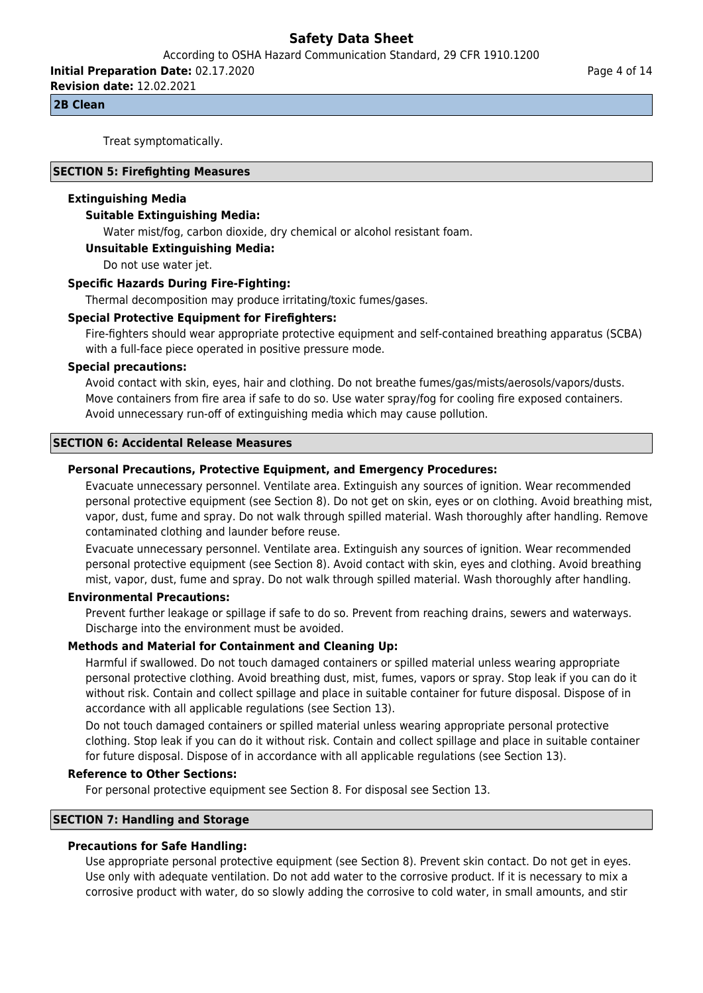According to OSHA Hazard Communication Standard, 29 CFR 1910.1200

**Initial Preparation Date:** 02.17.2020

**Revision date:** 12.02.2021

#### **2B Clean**

Treat symptomatically.

#### **SECTION 5: Firefighting Measures**

#### **Extinguishing Media**

### **Suitable Extinguishing Media:**

Water mist/fog, carbon dioxide, dry chemical or alcohol resistant foam.

#### **Unsuitable Extinguishing Media:**

Do not use water jet.

#### **Specific Hazards During Fire-Fighting:**

Thermal decomposition may produce irritating/toxic fumes/gases.

#### **Special Protective Equipment for Firefighters:**

Fire-fighters should wear appropriate protective equipment and self-contained breathing apparatus (SCBA) with a full-face piece operated in positive pressure mode.

#### **Special precautions:**

Avoid contact with skin, eyes, hair and clothing. Do not breathe fumes/gas/mists/aerosols/vapors/dusts. Move containers from fire area if safe to do so. Use water spray/fog for cooling fire exposed containers. Avoid unnecessary run-off of extinguishing media which may cause pollution.

#### **SECTION 6: Accidental Release Measures**

#### **Personal Precautions, Protective Equipment, and Emergency Procedures:**

Evacuate unnecessary personnel. Ventilate area. Extinguish any sources of ignition. Wear recommended personal protective equipment (see Section 8). Do not get on skin, eyes or on clothing. Avoid breathing mist, vapor, dust, fume and spray. Do not walk through spilled material. Wash thoroughly after handling. Remove contaminated clothing and launder before reuse.

Evacuate unnecessary personnel. Ventilate area. Extinguish any sources of ignition. Wear recommended personal protective equipment (see Section 8). Avoid contact with skin, eyes and clothing. Avoid breathing mist, vapor, dust, fume and spray. Do not walk through spilled material. Wash thoroughly after handling.

#### **Environmental Precautions:**

Prevent further leakage or spillage if safe to do so. Prevent from reaching drains, sewers and waterways. Discharge into the environment must be avoided.

## **Methods and Material for Containment and Cleaning Up:**

Harmful if swallowed. Do not touch damaged containers or spilled material unless wearing appropriate personal protective clothing. Avoid breathing dust, mist, fumes, vapors or spray. Stop leak if you can do it without risk. Contain and collect spillage and place in suitable container for future disposal. Dispose of in accordance with all applicable regulations (see Section 13).

Do not touch damaged containers or spilled material unless wearing appropriate personal protective clothing. Stop leak if you can do it without risk. Contain and collect spillage and place in suitable container for future disposal. Dispose of in accordance with all applicable regulations (see Section 13).

#### **Reference to Other Sections:**

For personal protective equipment see Section 8. For disposal see Section 13.

## **SECTION 7: Handling and Storage**

#### **Precautions for Safe Handling:**

Use appropriate personal protective equipment (see Section 8). Prevent skin contact. Do not get in eyes. Use only with adequate ventilation. Do not add water to the corrosive product. If it is necessary to mix a corrosive product with water, do so slowly adding the corrosive to cold water, in small amounts, and stir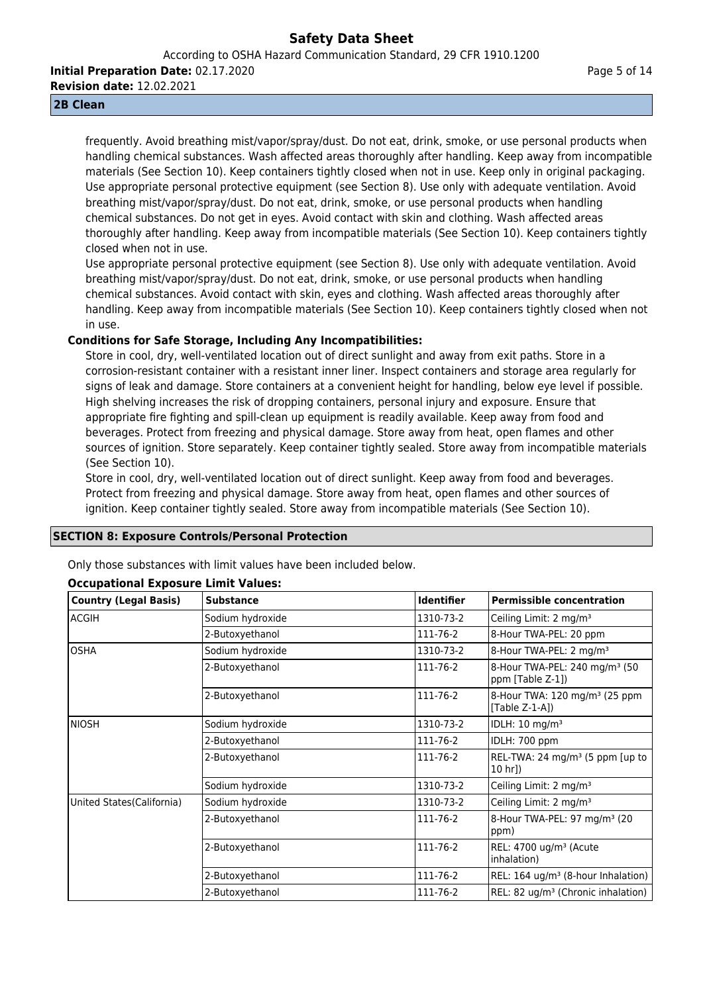According to OSHA Hazard Communication Standard, 29 CFR 1910.1200

**Initial Preparation Date:** 02.17.2020

**Revision date:** 12.02.2021

#### **2B Clean**

frequently. Avoid breathing mist/vapor/spray/dust. Do not eat, drink, smoke, or use personal products when handling chemical substances. Wash affected areas thoroughly after handling. Keep away from incompatible materials (See Section 10). Keep containers tightly closed when not in use. Keep only in original packaging. Use appropriate personal protective equipment (see Section 8). Use only with adequate ventilation. Avoid breathing mist/vapor/spray/dust. Do not eat, drink, smoke, or use personal products when handling chemical substances. Do not get in eyes. Avoid contact with skin and clothing. Wash affected areas thoroughly after handling. Keep away from incompatible materials (See Section 10). Keep containers tightly closed when not in use.

Use appropriate personal protective equipment (see Section 8). Use only with adequate ventilation. Avoid breathing mist/vapor/spray/dust. Do not eat, drink, smoke, or use personal products when handling chemical substances. Avoid contact with skin, eyes and clothing. Wash affected areas thoroughly after handling. Keep away from incompatible materials (See Section 10). Keep containers tightly closed when not in use.

## **Conditions for Safe Storage, Including Any Incompatibilities:**

Store in cool, dry, well-ventilated location out of direct sunlight and away from exit paths. Store in a corrosion-resistant container with a resistant inner liner. Inspect containers and storage area regularly for signs of leak and damage. Store containers at a convenient height for handling, below eye level if possible. High shelving increases the risk of dropping containers, personal injury and exposure. Ensure that appropriate fire fighting and spill-clean up equipment is readily available. Keep away from food and beverages. Protect from freezing and physical damage. Store away from heat, open flames and other sources of ignition. Store separately. Keep container tightly sealed. Store away from incompatible materials (See Section 10).

Store in cool, dry, well-ventilated location out of direct sunlight. Keep away from food and beverages. Protect from freezing and physical damage. Store away from heat, open flames and other sources of ignition. Keep container tightly sealed. Store away from incompatible materials (See Section 10).

## **SECTION 8: Exposure Controls/Personal Protection**

Only those substances with limit values have been included below.

| <b>Country (Legal Basis)</b> | <b>Substance</b> | <b>Identifier</b> | <b>Permissible concentration</b>                              |
|------------------------------|------------------|-------------------|---------------------------------------------------------------|
| <b>ACGIH</b>                 | Sodium hydroxide | 1310-73-2         | Ceiling Limit: 2 mg/m <sup>3</sup>                            |
|                              | 2-Butoxyethanol  | 111-76-2          | 8-Hour TWA-PEL: 20 ppm                                        |
| <b>OSHA</b>                  | Sodium hydroxide | 1310-73-2         | 8-Hour TWA-PEL: 2 mg/m <sup>3</sup>                           |
|                              | 2-Butoxyethanol  | 111-76-2          | 8-Hour TWA-PEL: 240 mg/m <sup>3</sup> (50<br>ppm [Table Z-1]) |
|                              | 2-Butoxyethanol  | 111-76-2          | 8-Hour TWA: 120 mg/m <sup>3</sup> (25 ppm)<br>$[Table Z-1-A]$ |
| Iniosh                       | Sodium hydroxide | 1310-73-2         | IDLH: 10 mg/m <sup>3</sup>                                    |
|                              | 2-Butoxyethanol  | 111-76-2          | IDLH: 700 ppm                                                 |
|                              | 2-Butoxyethanol  | 111-76-2          | REL-TWA: 24 mg/m <sup>3</sup> (5 ppm [up to<br>10 hr])        |
|                              | Sodium hydroxide | 1310-73-2         | Ceiling Limit: 2 mg/m <sup>3</sup>                            |
| United States (California)   | Sodium hydroxide | 1310-73-2         | Ceiling Limit: 2 mg/m <sup>3</sup>                            |
|                              | 2-Butoxyethanol  | 111-76-2          | 8-Hour TWA-PEL: 97 mg/m <sup>3</sup> (20<br>(ppm              |
|                              | 2-Butoxyethanol  | 111-76-2          | REL: 4700 ug/m <sup>3</sup> (Acute<br>inhalation)             |
|                              | 2-Butoxyethanol  | 111-76-2          | REL: 164 ug/m <sup>3</sup> (8-hour Inhalation)                |
|                              | 2-Butoxyethanol  | 111-76-2          | REL: 82 ug/m <sup>3</sup> (Chronic inhalation)                |

## **Occupational Exposure Limit Values:**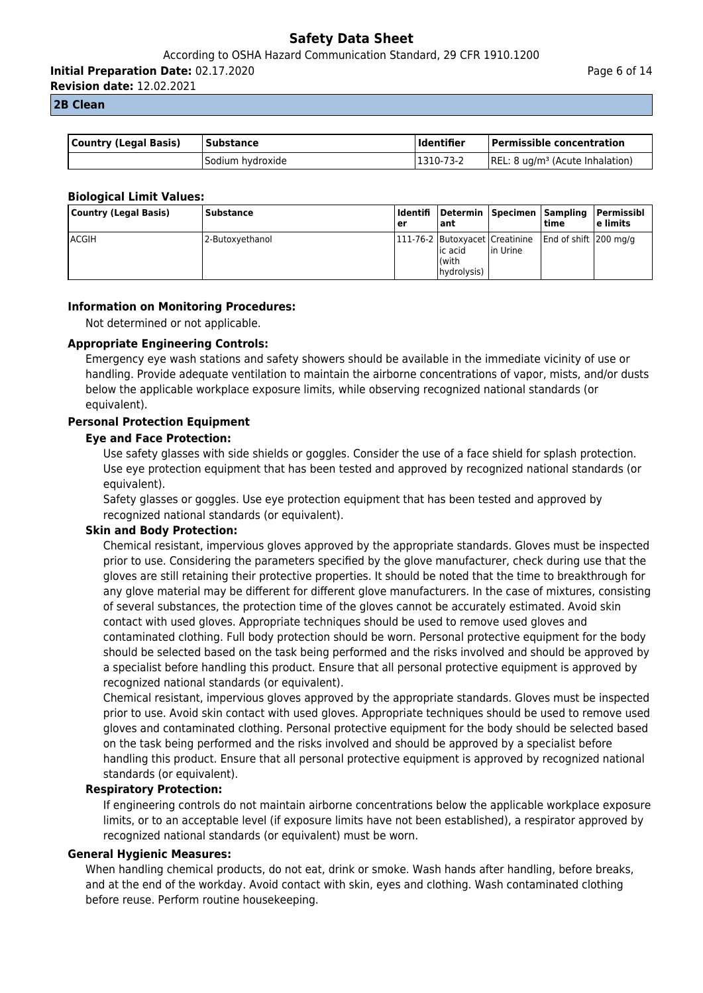**Initial Preparation Date:** 02.17.2020

**Revision date:** 12.02.2021

#### **2B Clean**

| <b>Country (Legal Basis)</b> | l Substance      | <b>Identifier</b> | <b>Permissible concentration</b>    |
|------------------------------|------------------|-------------------|-------------------------------------|
|                              | Sodium hydroxide | 1310-73-2         | $[REL: 8 ug/m3 (Acute Inhalation)]$ |

## **Biological Limit Values:**

| Country (Legal Basis) | Substance       | l Identifi<br><b>er</b> | l ant                                                               |           | time                   | Determin Specimen Sampling Permissibl<br>l e limits |
|-----------------------|-----------------|-------------------------|---------------------------------------------------------------------|-----------|------------------------|-----------------------------------------------------|
| lACGIH                | 2-Butoxyethanol |                         | 111-76-2 Butoxyacet Creatinine<br>lic acid<br>l(with<br>(hydrolysis | lin Urine | End of shift 1200 mg/g |                                                     |

#### **Information on Monitoring Procedures:**

Not determined or not applicable.

#### **Appropriate Engineering Controls:**

Emergency eye wash stations and safety showers should be available in the immediate vicinity of use or handling. Provide adequate ventilation to maintain the airborne concentrations of vapor, mists, and/or dusts below the applicable workplace exposure limits, while observing recognized national standards (or equivalent).

## **Personal Protection Equipment**

#### **Eye and Face Protection:**

Use safety glasses with side shields or goggles. Consider the use of a face shield for splash protection. Use eye protection equipment that has been tested and approved by recognized national standards (or equivalent).

Safety glasses or goggles. Use eye protection equipment that has been tested and approved by recognized national standards (or equivalent).

#### **Skin and Body Protection:**

Chemical resistant, impervious gloves approved by the appropriate standards. Gloves must be inspected prior to use. Considering the parameters specified by the glove manufacturer, check during use that the gloves are still retaining their protective properties. It should be noted that the time to breakthrough for any glove material may be different for different glove manufacturers. In the case of mixtures, consisting of several substances, the protection time of the gloves cannot be accurately estimated. Avoid skin contact with used gloves. Appropriate techniques should be used to remove used gloves and contaminated clothing. Full body protection should be worn. Personal protective equipment for the body should be selected based on the task being performed and the risks involved and should be approved by a specialist before handling this product. Ensure that all personal protective equipment is approved by recognized national standards (or equivalent).

Chemical resistant, impervious gloves approved by the appropriate standards. Gloves must be inspected prior to use. Avoid skin contact with used gloves. Appropriate techniques should be used to remove used gloves and contaminated clothing. Personal protective equipment for the body should be selected based on the task being performed and the risks involved and should be approved by a specialist before handling this product. Ensure that all personal protective equipment is approved by recognized national standards (or equivalent).

#### **Respiratory Protection:**

If engineering controls do not maintain airborne concentrations below the applicable workplace exposure limits, or to an acceptable level (if exposure limits have not been established), a respirator approved by recognized national standards (or equivalent) must be worn.

#### **General Hygienic Measures:**

When handling chemical products, do not eat, drink or smoke. Wash hands after handling, before breaks, and at the end of the workday. Avoid contact with skin, eyes and clothing. Wash contaminated clothing before reuse. Perform routine housekeeping.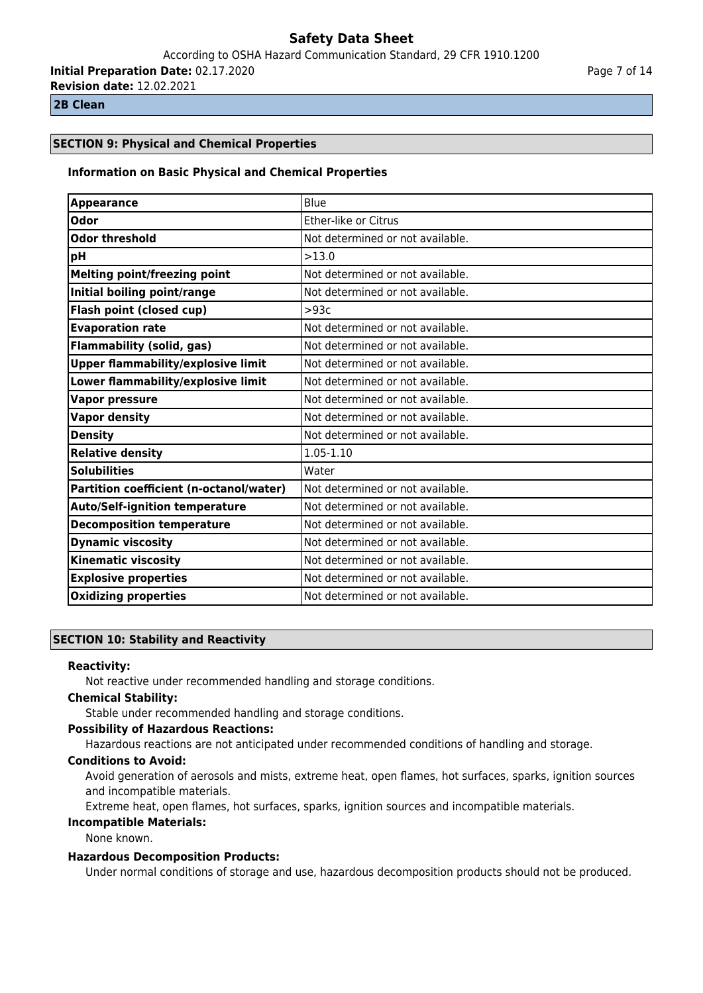According to OSHA Hazard Communication Standard, 29 CFR 1910.1200

**Initial Preparation Date:** 02.17.2020 **Revision date:** 12.02.2021

**2B Clean**

## **SECTION 9: Physical and Chemical Properties**

#### **Information on Basic Physical and Chemical Properties**

| <b>Appearance</b>                         | Blue                             |
|-------------------------------------------|----------------------------------|
| Odor                                      | Ether-like or Citrus             |
| <b>Odor threshold</b>                     | Not determined or not available. |
| pH                                        | >13.0                            |
| <b>Melting point/freezing point</b>       | Not determined or not available. |
| Initial boiling point/range               | Not determined or not available. |
| Flash point (closed cup)                  | >93c                             |
| <b>Evaporation rate</b>                   | Not determined or not available. |
| <b>Flammability (solid, gas)</b>          | Not determined or not available. |
| <b>Upper flammability/explosive limit</b> | Not determined or not available. |
| Lower flammability/explosive limit        | Not determined or not available. |
| <b>Vapor pressure</b>                     | Not determined or not available. |
| <b>Vapor density</b>                      | Not determined or not available. |
| <b>Density</b>                            | Not determined or not available. |
| <b>Relative density</b>                   | $1.05 - 1.10$                    |
| <b>Solubilities</b>                       | Water                            |
| Partition coefficient (n-octanol/water)   | Not determined or not available. |
| <b>Auto/Self-ignition temperature</b>     | Not determined or not available. |
| <b>Decomposition temperature</b>          | Not determined or not available. |
| <b>Dynamic viscosity</b>                  | Not determined or not available. |
| <b>Kinematic viscosity</b>                | Not determined or not available. |
| <b>Explosive properties</b>               | Not determined or not available. |
| <b>Oxidizing properties</b>               | Not determined or not available. |

## **SECTION 10: Stability and Reactivity**

#### **Reactivity:**

Not reactive under recommended handling and storage conditions.

#### **Chemical Stability:**

Stable under recommended handling and storage conditions.

## **Possibility of Hazardous Reactions:**

Hazardous reactions are not anticipated under recommended conditions of handling and storage.

## **Conditions to Avoid:**

Avoid generation of aerosols and mists, extreme heat, open flames, hot surfaces, sparks, ignition sources and incompatible materials.

Extreme heat, open flames, hot surfaces, sparks, ignition sources and incompatible materials.

## **Incompatible Materials:**

None known.

## **Hazardous Decomposition Products:**

Under normal conditions of storage and use, hazardous decomposition products should not be produced.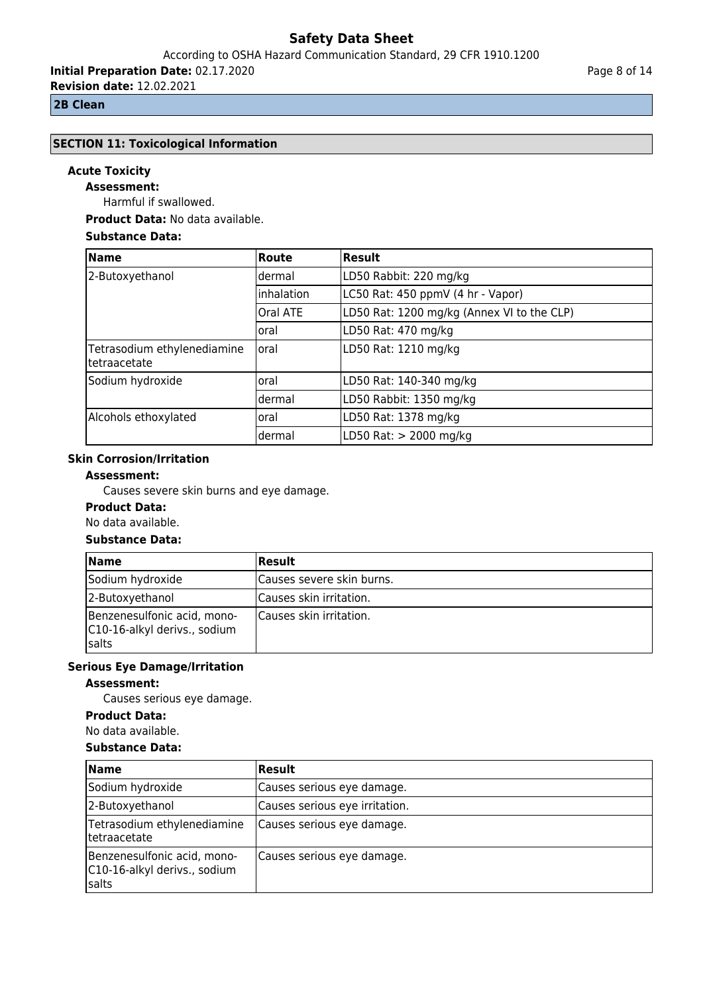According to OSHA Hazard Communication Standard, 29 CFR 1910.1200

**Initial Preparation Date:** 02.17.2020 **Revision date:** 12.02.2021

#### **2B Clean**

# **SECTION 11: Toxicological Information**

## **Acute Toxicity**

**Assessment:**

Harmful if swallowed.

**Product Data:** No data available.

## **Substance Data:**

| <b>Name</b>                                  | Route           | Result                                     |
|----------------------------------------------|-----------------|--------------------------------------------|
| 2-Butoxyethanol                              | dermal          | LD50 Rabbit: 220 mg/kg                     |
|                                              | linhalation     | LC50 Rat: 450 ppmV (4 hr - Vapor)          |
|                                              | <b>Oral ATE</b> | LD50 Rat: 1200 mg/kg (Annex VI to the CLP) |
|                                              | loral           | LD50 Rat: 470 mg/kg                        |
| Tetrasodium ethylenediamine<br>ltetraacetate | loral           | LD50 Rat: 1210 mg/kg                       |
| Sodium hydroxide                             | oral            | LD50 Rat: 140-340 mg/kg                    |
|                                              | ldermal         | LD50 Rabbit: 1350 mg/kg                    |
| Alcohols ethoxylated                         | oral            | LD50 Rat: 1378 mg/kg                       |
|                                              | dermal          | LD50 Rat: > 2000 mg/kg                     |

## **Skin Corrosion/Irritation**

## **Assessment:**

Causes severe skin burns and eye damage.

## **Product Data:**

No data available.

## **Substance Data:**

| <b>Name</b>                                                                  | Result                    |
|------------------------------------------------------------------------------|---------------------------|
| Sodium hydroxide                                                             | Causes severe skin burns. |
| 2-Butoxyethanol                                                              | Causes skin irritation.   |
| Benzenesulfonic acid, mono-<br>C10-16-alkyl derivs., sodium<br><b>Isalts</b> | Causes skin irritation.   |

## **Serious Eye Damage/Irritation**

## **Assessment:**

Causes serious eye damage.

#### **Product Data:**

No data available.

#### **Substance Data:**

| <b>Name</b>                                                           | <b>Result</b>                  |
|-----------------------------------------------------------------------|--------------------------------|
| Sodium hydroxide                                                      | Causes serious eye damage.     |
| 2-Butoxyethanol                                                       | Causes serious eye irritation. |
| Tetrasodium ethylenediamine<br> tetraacetate                          | Causes serious eye damage.     |
| Benzenesulfonic acid, mono-<br>C10-16-alkyl derivs., sodium<br> salts | Causes serious eye damage.     |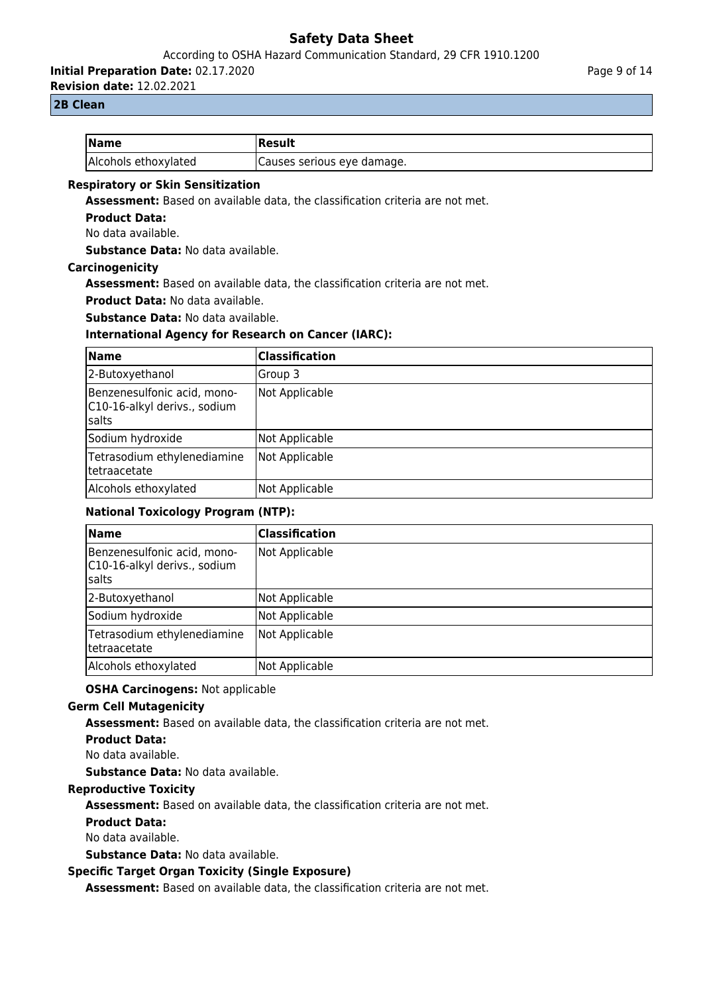According to OSHA Hazard Communication Standard, 29 CFR 1910.1200

**Initial Preparation Date:** 02.17.2020

**Revision date:** 12.02.2021

## **2B Clean**

| <b>Name</b>          | Result                     |
|----------------------|----------------------------|
| Alcohols ethoxylated | Causes serious eye damage. |

### **Respiratory or Skin Sensitization**

**Assessment:** Based on available data, the classification criteria are not met.

#### **Product Data:**

No data available.

**Substance Data:** No data available.

#### **Carcinogenicity**

**Assessment:** Based on available data, the classification criteria are not met.

**Product Data:** No data available.

**Substance Data:** No data available.

## **International Agency for Research on Cancer (IARC):**

| Name                                                                  | Classification |
|-----------------------------------------------------------------------|----------------|
| 2-Butoxyethanol                                                       | Group 3        |
| Benzenesulfonic acid, mono-<br>C10-16-alkyl derivs., sodium<br> salts | Not Applicable |
| Sodium hydroxide                                                      | Not Applicable |
| Tetrasodium ethylenediamine<br>Itetraacetate                          | Not Applicable |
| Alcohols ethoxylated                                                  | Not Applicable |

## **National Toxicology Program (NTP):**

| <b>Name</b>                                                           | Classification |
|-----------------------------------------------------------------------|----------------|
| Benzenesulfonic acid, mono-<br>C10-16-alkyl derivs., sodium<br> salts | Not Applicable |
| 2-Butoxyethanol                                                       | Not Applicable |
| Sodium hydroxide                                                      | Not Applicable |
| Tetrasodium ethylenediamine<br>Itetraacetate                          | Not Applicable |
| Alcohols ethoxylated                                                  | Not Applicable |

## **OSHA Carcinogens:** Not applicable

## **Germ Cell Mutagenicity**

**Assessment:** Based on available data, the classification criteria are not met.

## **Product Data:**

No data available.

**Substance Data:** No data available.

## **Reproductive Toxicity**

**Assessment:** Based on available data, the classification criteria are not met.

## **Product Data:**

No data available.

**Substance Data:** No data available.

## **Specific Target Organ Toxicity (Single Exposure)**

**Assessment:** Based on available data, the classification criteria are not met.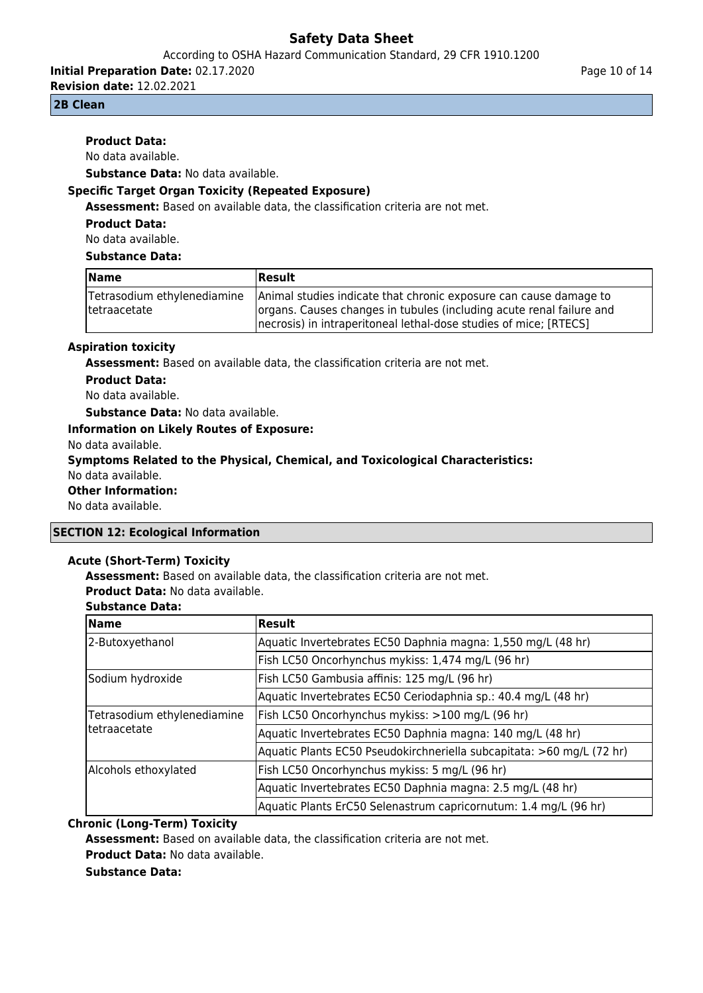According to OSHA Hazard Communication Standard, 29 CFR 1910.1200

**Initial Preparation Date:** 02.17.2020

**Revision date:** 12.02.2021

#### **2B Clean**

## **Product Data:**

No data available.

**Substance Data:** No data available.

## **Specific Target Organ Toxicity (Repeated Exposure)**

**Assessment:** Based on available data, the classification criteria are not met.

**Product Data:**

No data available.

#### **Substance Data:**

| Name                                         | Result                                                                                                                                                                                                          |
|----------------------------------------------|-----------------------------------------------------------------------------------------------------------------------------------------------------------------------------------------------------------------|
| Tetrasodium ethylenediamine<br>Itetraacetate | Animal studies indicate that chronic exposure can cause damage to<br>organs. Causes changes in tubules (including acute renal failure and<br>Inecrosis) in intraperitoneal lethal-dose studies of mice; [RTECS] |

#### **Aspiration toxicity**

**Assessment:** Based on available data, the classification criteria are not met.

**Product Data:** No data available.

**Substance Data:** No data available.

#### **Information on Likely Routes of Exposure:**

No data available.

**Symptoms Related to the Physical, Chemical, and Toxicological Characteristics:** No data available.

## **Other Information:**

No data available.

#### **SECTION 12: Ecological Information**

#### **Acute (Short-Term) Toxicity**

**Assessment:** Based on available data, the classification criteria are not met.

**Product Data:** No data available.

| <b>Substance Data:</b> |  |
|------------------------|--|
|                        |  |

| <b>Name</b>                                  | Result                                                                |
|----------------------------------------------|-----------------------------------------------------------------------|
| 2-Butoxyethanol                              | Aquatic Invertebrates EC50 Daphnia magna: 1,550 mg/L (48 hr)          |
|                                              | Fish LC50 Oncorhynchus mykiss: 1,474 mg/L (96 hr)                     |
| Sodium hydroxide                             | Fish LC50 Gambusia affinis: 125 mg/L (96 hr)                          |
|                                              | Aquatic Invertebrates EC50 Ceriodaphnia sp.: 40.4 mg/L (48 hr)        |
| Tetrasodium ethylenediamine<br> tetraacetate | Fish LC50 Oncorhynchus mykiss: >100 mg/L (96 hr)                      |
|                                              | Aquatic Invertebrates EC50 Daphnia magna: 140 mg/L (48 hr)            |
|                                              | Aquatic Plants EC50 Pseudokirchneriella subcapitata: >60 mg/L (72 hr) |
| Alcohols ethoxylated                         | Fish LC50 Oncorhynchus mykiss: 5 mg/L (96 hr)                         |
|                                              | Aquatic Invertebrates EC50 Daphnia magna: 2.5 mg/L (48 hr)            |
|                                              | Aquatic Plants ErC50 Selenastrum capricornutum: 1.4 mg/L (96 hr)      |

#### **Chronic (Long-Term) Toxicity**

**Assessment:** Based on available data, the classification criteria are not met. **Product Data:** No data available.

**Substance Data:**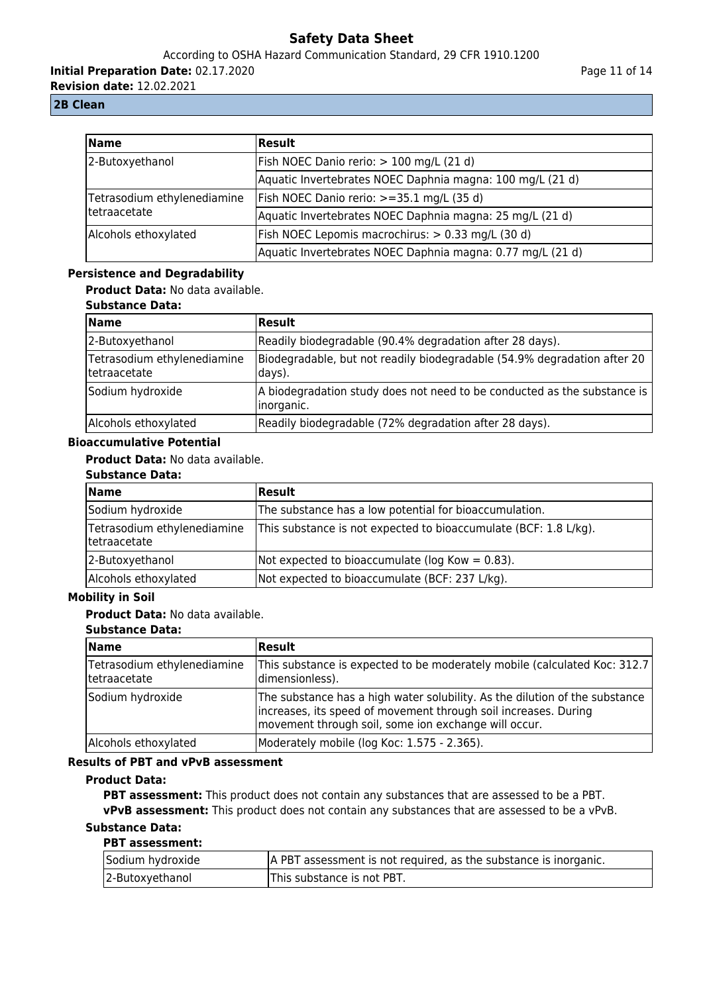According to OSHA Hazard Communication Standard, 29 CFR 1910.1200

**Initial Preparation Date:** 02.17.2020

**Revision date:** 12.02.2021

## **2B Clean**

| <b>Name</b>                 | <b>Result</b>                                              |
|-----------------------------|------------------------------------------------------------|
| 2-Butoxyethanol             | Fish NOEC Danio rerio: > 100 mg/L (21 d)                   |
|                             | Aquatic Invertebrates NOEC Daphnia magna: 100 mg/L (21 d)  |
| Tetrasodium ethylenediamine | Fish NOEC Danio rerio: $>=35.1$ mg/L (35 d)                |
| Itetraacetate               | Aquatic Invertebrates NOEC Daphnia magna: 25 mg/L (21 d)   |
| Alcohols ethoxylated        | Fish NOEC Lepomis macrochirus: > 0.33 mg/L (30 d)          |
|                             | Aquatic Invertebrates NOEC Daphnia magna: 0.77 mg/L (21 d) |

## **Persistence and Degradability**

**Product Data:** No data available.

## **Substance Data:**

| <b>Name</b>                                  | <b>Result</b>                                                                           |
|----------------------------------------------|-----------------------------------------------------------------------------------------|
| 2-Butoxyethanol                              | Readily biodegradable (90.4% degradation after 28 days).                                |
| Tetrasodium ethylenediamine<br> tetraacetate | Biodegradable, but not readily biodegradable (54.9% degradation after 20<br> days).     |
| Sodium hydroxide                             | A biodegradation study does not need to be conducted as the substance is<br>linorganic. |
| Alcohols ethoxylated                         | Readily biodegradable (72% degradation after 28 days).                                  |

#### **Bioaccumulative Potential**

## **Product Data:** No data available.

## **Substance Data:**

| <b>Name</b>                                  | <b>Result</b>                                                    |
|----------------------------------------------|------------------------------------------------------------------|
| Sodium hydroxide                             | The substance has a low potential for bioaccumulation.           |
| Tetrasodium ethylenediamine<br> tetraacetate | This substance is not expected to bioaccumulate (BCF: 1.8 L/kg). |
| 2-Butoxyethanol                              | Not expected to bioaccumulate ( $log Kow = 0.83$ ).              |
| Alcohols ethoxylated                         | Not expected to bioaccumulate (BCF: 237 L/kg).                   |

#### **Mobility in Soil**

## **Product Data:** No data available.

#### **Substance Data:**

| <b>Name</b>                                  | <b>Result</b>                                                                                                                                                                                          |
|----------------------------------------------|--------------------------------------------------------------------------------------------------------------------------------------------------------------------------------------------------------|
| Tetrasodium ethylenediamine<br> tetraacetate | This substance is expected to be moderately mobile (calculated Koc: 312.7)<br>dimensionless).                                                                                                          |
| Sodium hydroxide                             | The substance has a high water solubility. As the dilution of the substance<br>increases, its speed of movement through soil increases. During<br>movement through soil, some ion exchange will occur. |
| Alcohols ethoxylated                         | Moderately mobile (log Koc: 1.575 - 2.365).                                                                                                                                                            |

## **Results of PBT and vPvB assessment**

## **Product Data:**

**PBT assessment:** This product does not contain any substances that are assessed to be a PBT. **vPvB assessment:** This product does not contain any substances that are assessed to be a vPvB.

#### **Substance Data: PBT assessment:**

| .                |                                                                  |
|------------------|------------------------------------------------------------------|
| Sodium hydroxide | A PBT assessment is not required, as the substance is inorganic. |
| 2-Butoxyethanol  | This substance is not PBT.                                       |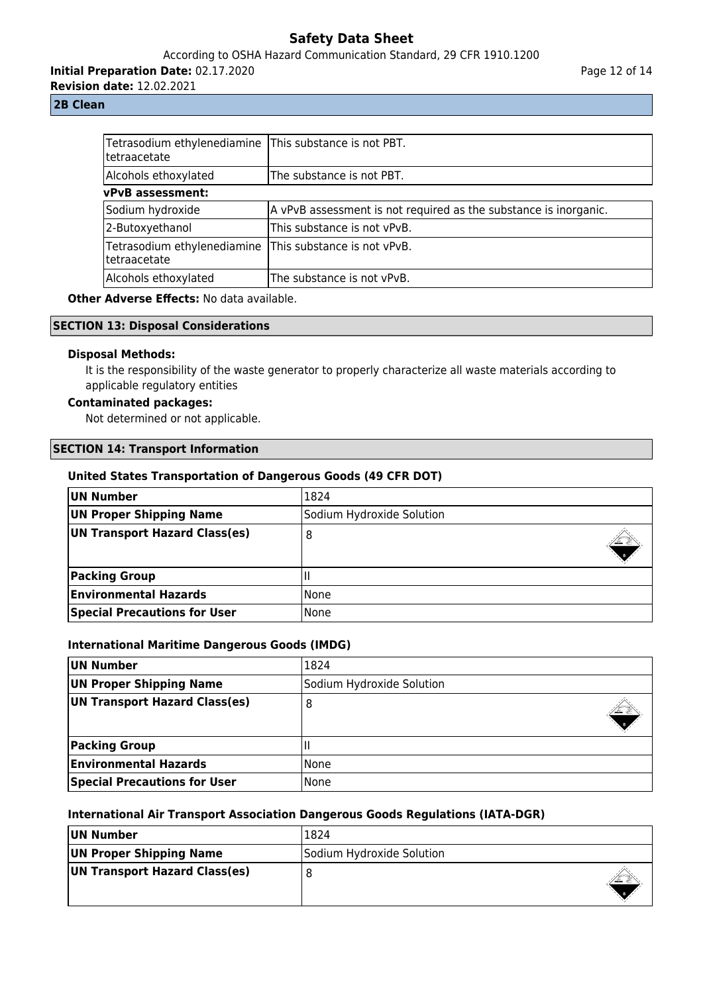## According to OSHA Hazard Communication Standard, 29 CFR 1910.1200

**Initial Preparation Date:** 02.17.2020

**Revision date:** 12.02.2021

## Page 12 of 14

#### **2B Clean**

| Tetrasodium ethylenediamine This substance is not PBT.<br> tetraacetate |                                                                  |
|-------------------------------------------------------------------------|------------------------------------------------------------------|
| Alcohols ethoxylated                                                    | The substance is not PBT.                                        |
| <b>vPvB</b> assessment:                                                 |                                                                  |
| Sodium hydroxide                                                        | A vPvB assessment is not required as the substance is inorganic. |
| 2-Butoxyethanol                                                         | This substance is not vPvB.                                      |
| Tetrasodium ethylenediamine<br> tetraacetate                            | This substance is not vPvB.                                      |
| Alcohols ethoxylated                                                    | The substance is not vPvB.                                       |

**Other Adverse Effects: No data available.** 

#### **SECTION 13: Disposal Considerations**

#### **Disposal Methods:**

It is the responsibility of the waste generator to properly characterize all waste materials according to applicable regulatory entities

## **Contaminated packages:**

Not determined or not applicable.

### **SECTION 14: Transport Information**

#### **United States Transportation of Dangerous Goods (49 CFR DOT)**

| UN Number                           | 1824                      |
|-------------------------------------|---------------------------|
| <b>UN Proper Shipping Name</b>      | Sodium Hydroxide Solution |
| UN Transport Hazard Class(es)       | 8                         |
| <b>Packing Group</b>                |                           |
| <b>Environmental Hazards</b>        | l None                    |
| <b>Special Precautions for User</b> | l None                    |

#### **International Maritime Dangerous Goods (IMDG)**

| UN Number                           | 1824                      |
|-------------------------------------|---------------------------|
| UN Proper Shipping Name             | Sodium Hydroxide Solution |
| UN Transport Hazard Class(es)       | ο                         |
| <b>Packing Group</b>                |                           |
| <b>Environmental Hazards</b>        | l None                    |
| <b>Special Precautions for User</b> | None                      |

#### **International Air Transport Association Dangerous Goods Regulations (IATA-DGR)**

| UN Number                     | 1824                      |
|-------------------------------|---------------------------|
| UN Proper Shipping Name       | Sodium Hydroxide Solution |
| UN Transport Hazard Class(es) |                           |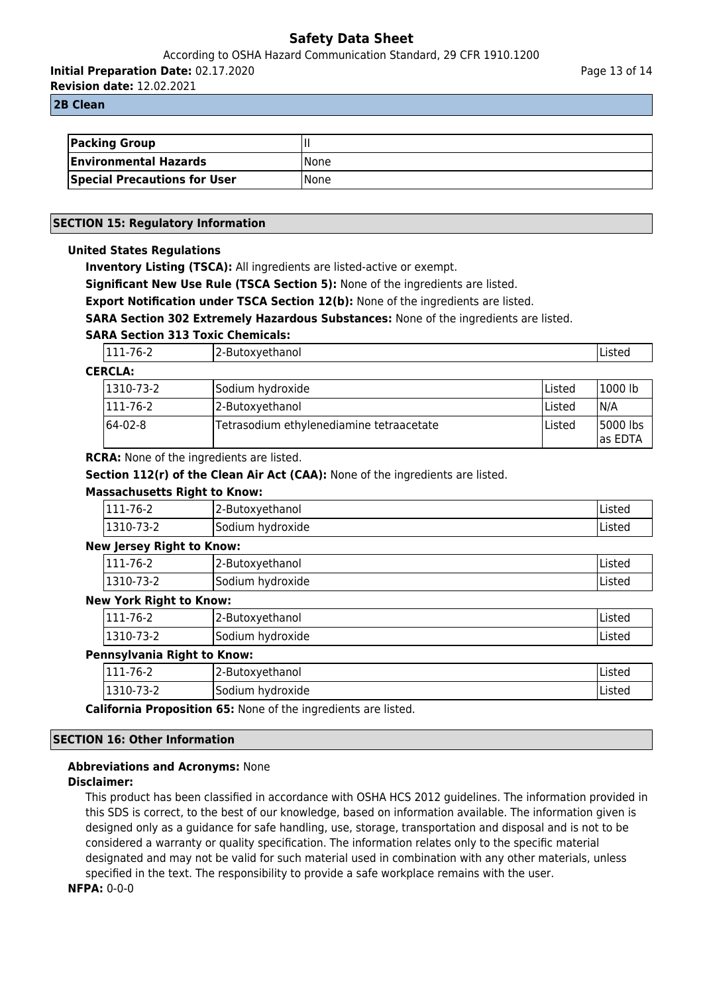According to OSHA Hazard Communication Standard, 29 CFR 1910.1200

**Initial Preparation Date:** 02.17.2020

**Revision date:** 12.02.2021

#### **2B Clean**

| <b>Packing Group</b>                |             |
|-------------------------------------|-------------|
| <b>Environmental Hazards</b>        | <b>None</b> |
| <b>Special Precautions for User</b> | <b>None</b> |

## **SECTION 15: Regulatory Information**

## **United States Regulations**

**Inventory Listing (TSCA):** All ingredients are listed-active or exempt.

**Significant New Use Rule (TSCA Section 5):** None of the ingredients are listed.

**Export Notification under TSCA Section 12(b):** None of the ingredients are listed.

**SARA Section 302 Extremely Hazardous Substances:** None of the ingredients are listed.

## **SARA Section 313 Toxic Chemicals:**

|                | $\sim$ $\sim$<br>$1b-1$<br>.<br>$\cdot$ $\sim$ $\sim$<br>. | reulidi IUI<br><b>PACON</b> |  |
|----------------|------------------------------------------------------------|-----------------------------|--|
| <b>CERCLA:</b> |                                                            |                             |  |

| 1310-73-2 | Sodium hydroxide                         | lListed | '1000 lb              |
|-----------|------------------------------------------|---------|-----------------------|
| '111-76-2 | 2-Butoxyethanol                          | lListed | N/A                   |
| 164-02-8  | Tetrasodium ethylenediamine tetraacetate | lListed | 15000 lbs<br>las EDTA |

**RCRA:** None of the ingredients are listed.

**Section 112(r) of the Clean Air Act (CAA):** None of the ingredients are listed.

## **Massachusetts Right to Know:**

| 111-76-2         | 2-Butoxyethanol  | Listed  |
|------------------|------------------|---------|
| $1310-7$<br>73-Z | Sodium hydroxide | 'Listec |

#### **New Jersey Right to Know:**

| '111-76-2 | 12-Butoxyethanol | <b>Listeu</b> |
|-----------|------------------|---------------|
| 1310-73-2 | Sodium hydroxide | <b>Listeu</b> |

## **New York Right to Know:**

| 111-76-2        | 2-Butoxyethanol  | 'Listed |
|-----------------|------------------|---------|
| 73-2<br>,1310-7 | Sodium hydroxide | Listed  |

#### **Pennsylvania Right to Know:**

| $\sim$<br>-<br>111-76-2 | ∽<br>12-Butoxyethanol      | $- + -$<br>Listed |
|-------------------------|----------------------------|-------------------|
| 3-2<br>1310-7           | <b>Sodium</b><br>hydroxide | Listed            |

**California Proposition 65:** None of the ingredients are listed.

## **SECTION 16: Other Information**

## **Abbreviations and Acronyms:** None

#### **Disclaimer:**

This product has been classified in accordance with OSHA HCS 2012 guidelines. The information provided in this SDS is correct, to the best of our knowledge, based on information available. The information given is designed only as a guidance for safe handling, use, storage, transportation and disposal and is not to be considered a warranty or quality specification. The information relates only to the specific material designated and may not be valid for such material used in combination with any other materials, unless specified in the text. The responsibility to provide a safe workplace remains with the user.

## **NFPA:** 0-0-0